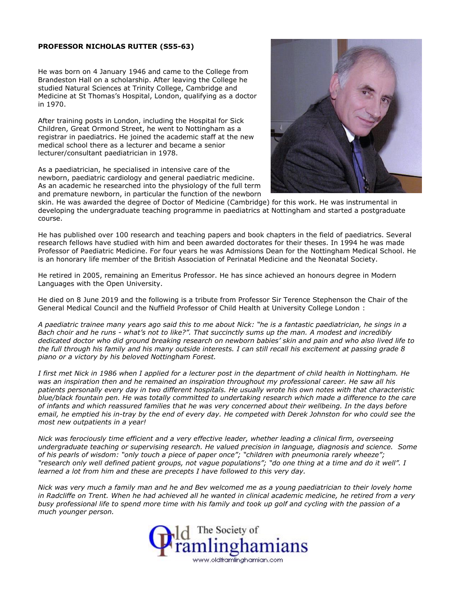## **PROFESSOR NICHOLAS RUTTER (S55-63)**

He was born on 4 January 1946 and came to the College from Brandeston Hall on a scholarship. After leaving the College he studied Natural Sciences at Trinity College, Cambridge and Medicine at St Thomas's Hospital, London, qualifying as a doctor in 1970.

After training posts in London, including the Hospital for Sick Children, Great Ormond Street, he went to Nottingham as a registrar in paediatrics. He joined the academic staff at the new medical school there as a lecturer and became a senior lecturer/consultant paediatrician in 1978.

As a paediatrician, he specialised in intensive care of the newborn, paediatric cardiology and general paediatric medicine. As an academic he researched into the physiology of the full term and premature newborn, in particular the function of the newborn



skin. He was awarded the degree of Doctor of Medicine (Cambridge) for this work. He was instrumental in developing the undergraduate teaching programme in paediatrics at Nottingham and started a postgraduate course.

He has published over 100 research and teaching papers and book chapters in the field of paediatrics. Several research fellows have studied with him and been awarded doctorates for their theses. In 1994 he was made Professor of Paediatric Medicine. For four years he was Admissions Dean for the Nottingham Medical School. He is an honorary life member of the British Association of Perinatal Medicine and the Neonatal Society.

He retired in 2005, remaining an Emeritus Professor. He has since achieved an honours degree in Modern Languages with the Open University.

He died on 8 June 2019 and the following is a tribute from Professor Sir Terence Stephenson the Chair of the General Medical Council and the Nuffield Professor of Child Health at University College London :

A paediatric trainee many years ago said this to me about Nick: "he is a fantastic paediatrician, he sings in a Bach choir and he runs - what's not to like?". That succinctly sums up the man. A modest and incredibly dedicated doctor who did ground breaking research on newborn babies' skin and pain and who also lived life to the full through his family and his many outside interests. I can still recall his excitement at passing grade 8 *piano or a victory by his beloved Nottingham Forest.*

I first met Nick in 1986 when I applied for a lecturer post in the department of child health in Nottingham. He *was an inspiration then and he remained an inspiration throughout my professional career. He saw all his* patients personally every day in two different hospitals. He usually wrote his own notes with that characteristic blue/black fountain pen. He was totally committed to undertaking research which made a difference to the care of infants and which reassured families that he was very concerned about their wellbeing. In the days before email, he emptied his in-tray by the end of every day. He competed with Derek Johnston for who could see the *most new outpatients in a year!*

*Nick was ferociously time efficient and a very effective leader, whether leading a clinical firm, overseeing undergraduate teaching or supervising research. He valued precision in language, diagnosis and science. Some of his pearls of wisdom: "only touch a piece of paper once"; "children with pneumonia rarely wheeze";* "research only well defined patient groups, not vague populations"; "do one thing at a time and do it well". I *learned a lot from him and these are precepts I have followed to this very day.*

Nick was very much a family man and he and Bev welcomed me as a young paediatrician to their lovely home in Radcliffe on Trent. When he had achieved all he wanted in clinical academic medicine, he retired from a very busy professional life to spend more time with his family and took up golf and cycling with the passion of a *much younger person.*